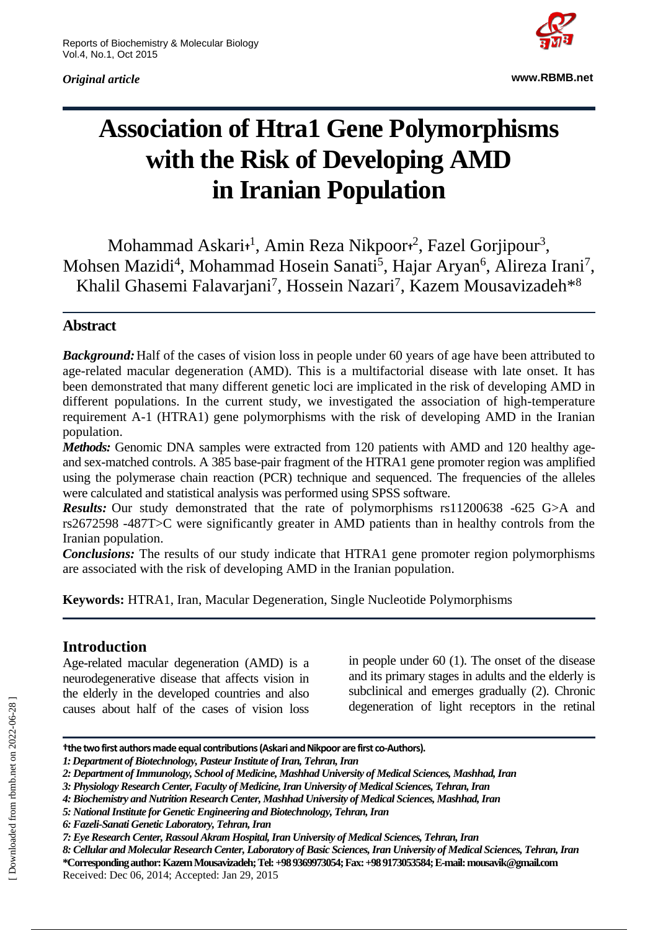*Original article*



**www.RBMB.net**

# **Association of Htra1 Gene Polymorphisms with the Risk of Developing AMD in Iranian Population**

Mohammad Askari**†** 1 , Amin Reza Nikpoor**†** 2 , Fazel Gorjipour<sup>3</sup> , Mohsen Mazidi<sup>4</sup>, Mohammad Hosein Sanati<sup>5</sup>, Hajar Aryan<sup>6</sup>, Alireza Irani<sup>7</sup>, Khalil Ghasemi Falavarjani<sup>7</sup>, Hossein Nazari<sup>7</sup>, Kazem Mousavizadeh\*8

# **Abstract**

*Background:*Half of the cases of vision loss in people under 60 years of age have been attributed to age-related macular degeneration (AMD). This is a multifactorial disease with late onset. It has been demonstrated that many different genetic loci are implicated in the risk of developing AMD in different populations. In the current study, we investigated the association of high-temperature requirement A-1 (HTRA1) gene polymorphisms with the risk of developing AMD in the Iranian population.

*Methods:* Genomic DNA samples were extracted from 120 patients with AMD and 120 healthy ageand sex-matched controls. A 385 base-pair fragment of the HTRA1 gene promoter region was amplified using the polymerase chain reaction (PCR) technique and sequenced. The frequencies of the alleles were calculated and statistical analysis was performed using SPSS software.

*Results:* Our study demonstrated that the rate of polymorphisms rs11200638 -625 G>A and rs2672598 -487T>C were significantly greater in AMD patients than in healthy controls from the Iranian population.

*Conclusions:* The results of our study indicate that HTRA1 gene promoter region polymorphisms are associated with the risk of developing AMD in the Iranian population.

**Keywords:** HTRA1, Iran, Macular Degeneration, Single Nucleotide Polymorphisms

# **Introduction**

Age-related macular degeneration (AMD) is a neurodegenerative disease that affects vision in the elderly in the developed countries and also causes about half of the cases of vision loss

in people under 60 (1). The onset of the disease and its primary stages in adults and the elderly is subclinical and emerges gradually (2). Chronic degeneration of light receptors in the retinal

**†the two first authors made equal contributions(Askari and Nikpoor are first co-Authors).**

*<sup>1:</sup> Department of Biotechnology, Pasteur Institute of Iran, Tehran, Iran*

*<sup>2:</sup> Department of Immunology, School of Medicine, Mashhad University of Medical Sciences, Mashhad, Iran*

*<sup>3:</sup> Physiology Research Center, Faculty of Medicine, Iran University of Medical Sciences, Tehran, Iran*

*<sup>4:</sup> Biochemistry and Nutrition Research Center, Mashhad University of Medical Sciences, Mashhad, Iran* 

*<sup>5:</sup> National Institute for Genetic Engineering and Biotechnology, Tehran, Iran*

*<sup>6:</sup> Fazeli-Sanati Genetic Laboratory, Tehran, Iran*

*<sup>7:</sup> Eye Research Center, Rassoul Akram Hospital, Iran University of Medical Sciences, Tehran, Iran*

*<sup>8:</sup> Cellular and Molecular Research Center, Laboratory of Basic Sciences, Iran University of Medical Sciences, Tehran, Iran* **\*Corresponding author: Kazem Mousavizadeh; Tel: +98 9369973054; Fax: +98 9173053584; E-mail: mousavik@gmail.com** Received: Dec 06, 2014; Accepted: Jan 29, 2015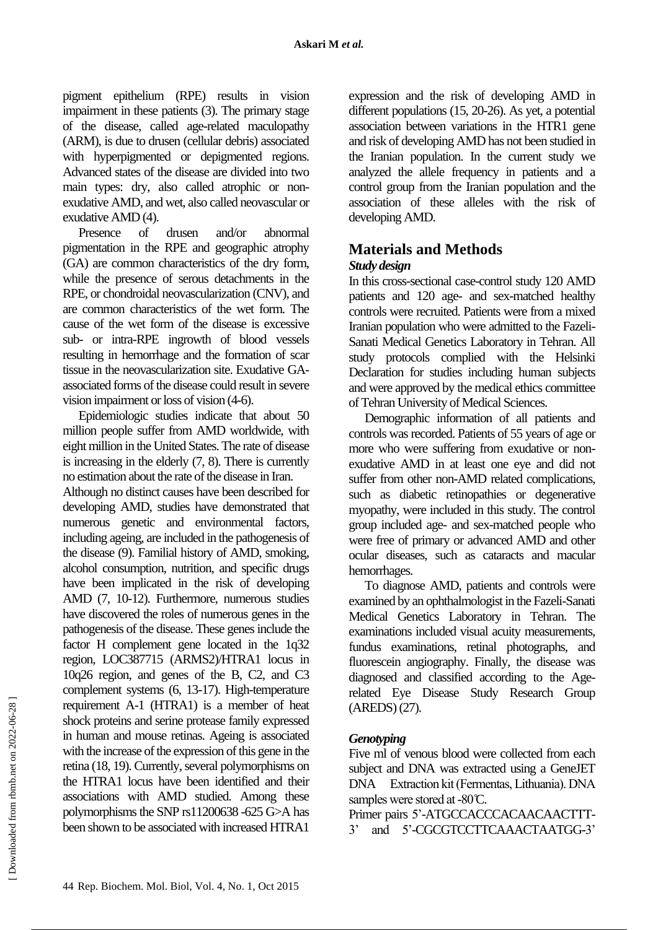pigment epithelium (RPE) results in vision impairment in these patients (3). The primary stage of the disease, called age-related maculopathy (ARM), is due to drusen (cellular debris) associated with hyperpigmented or depigmented regions. Advanced states of the disease are divided into two main types: dry, also called atrophic or nonexudative AMD, and wet, also called neovascular or exudative AMD (4).

Presence of drusen and/or abnormal pigmentation in the RPE and geographic atrophy (GA) are common characteristics of the dry form, while the presence of serous detachments in the RPE, or chondroidal neovascularization (CNV), and are common characteristics of the wet form. The cause of the wet form of the disease is excessive sub- or intra-RPE ingrowth of blood vessels resulting in hemorrhage and the formation of scar tissue in the neovascularization site. Exudative GAassociated forms of the disease could result in severe vision impairment or loss of vision (4-6).

Epidemiologic studies indicate that about 50 million people suffer from AMD worldwide, with eight million in the United States. The rate of disease is increasing in the elderly (7, 8). There is currently no estimation about the rate of the disease in Iran.

Although no distinct causes have been described for developing AMD, studies have demonstrated that numerous genetic and environmental factors, including ageing, are included in the pathogenesis of the disease (9). Familial history of AMD, smoking, alcohol consumption, nutrition, and specific drugs have been implicated in the risk of developing AMD (7, 10-12). Furthermore, numerous studies have discovered the roles of numerous genes in the pathogenesis of the disease. These genes include the factor H complement gene located in the 1q32 region, LOC387715 (ARMS2)/HTRA1 locus in 10q26 region, and genes of the B, C2, and C3 complement systems (6, 13-17). High-temperature requirement A-1 (HTRA1) is a member of heat shock proteins and serine protease family expressed in human and mouse retinas. Ageing is associated with the increase of the expression of this gene in the retina (18, 19). Currently, several polymorphisms on the HTRA1 locus have been identified and their associations with AMD studied. Among these polymorphisms the SNP rs11200638 -625 G>A has been shown to be associated with increased HTRA1

expression and the risk of developing AMD in different populations (15, 20-26). As yet, a potential association between variations in the HTR1 gene and risk of developing AMD has not been studied in the Iranian population. In the current study we analyzed the allele frequency in patients and a control group from the Iranian population and the association of these alleles with the risk of developing AMD.

# **Materials and Methods**

#### *Study design*

In this cross-sectional case-control study 120 AMD patients and 120 age- and sex-matched healthy controls were recruited. Patients were from a mixed Iranian population who were admitted to the Fazeli-Sanati Medical Genetics Laboratory in Tehran. All study protocols complied with the Helsinki Declaration for studies including human subjects and were approved by the medical ethics committee of Tehran University of Medical Sciences.

Demographic information of all patients and controls was recorded. Patients of 55 years of age or more who were suffering from exudative or nonexudative AMD in at least one eye and did not suffer from other non-AMD related complications, such as diabetic retinopathies or degenerative myopathy, were included in this study. The control group included age- and sex-matched people who were free of primary or advanced AMD and other ocular diseases, such as cataracts and macular hemorrhages.

To diagnose AMD, patients and controls were examined by an ophthalmologist in the Fazeli-Sanati Medical Genetics Laboratory in Tehran. The examinations included visual acuity measurements, fundus examinations, retinal photographs, and fluorescein angiography. Finally, the disease was diagnosed and classified according to the Agerelated Eye Disease Study Research Group (AREDS) (27).

## *Genotyping*

Five ml of venous blood were collected from each subject and DNA was extracted using a GeneJET DNA Extraction kit (Fermentas, Lithuania). DNA samples were stored at -80°C.

Primer pairs 5'-ATGCCACCCACAACAACTTT-3' and 5'-CGCGTCCTTCAAACTAATGG-3'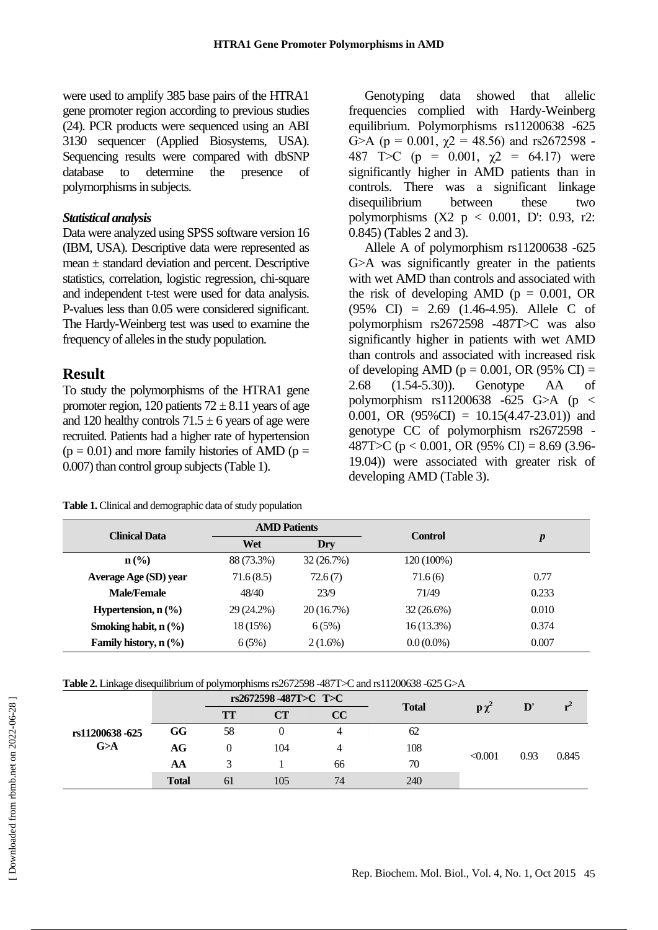were used to amplify 385 base pairs of the HTRA1 gene promoter region according to previous studies (24). PCR products were sequenced using an ABI 3130 sequencer (Applied Biosystems, USA). Sequencing results were compared with dbSNP database to determine the presence of polymorphisms in subjects.

#### *Statistical analysis*

Data were analyzed using SPSS software version 16 (IBM, USA). Descriptive data were represented as mean ± standard deviation and percent. Descriptive statistics, correlation, logistic regression, chi-square and independent t-test were used for data analysis. P-values less than 0.05 were considered significant. The Hardy-Weinberg test was used to examine the frequency of alleles in the study population.

#### **Result**

To study the polymorphisms of the HTRA1 gene promoter region, 120 patients  $72 \pm 8.11$  years of age and 120 healthy controls  $71.5 \pm 6$  years of age were recruited. Patients had a higher rate of hypertension  $(p = 0.01)$  and more family histories of AMD  $(p = 0.01)$ 0.007) than control group subjects (Table 1).

**Table 1.** Clinical and demographic data of study population

Genotyping data showed that allelic frequencies complied with Hardy-Weinberg equilibrium. Polymorphisms rs11200638 -625 G>A ( $p = 0.001$ ,  $\chi$ 2 = 48.56) and rs2672598 -487 T > C (p = 0.001,  $\chi$ 2 = 64.17) were significantly higher in AMD patients than in controls. There was a significant linkage disequilibrium between these two polymorphisms  $(X2 \text{ p} < 0.001, D$ : 0.93, r2: 0.845) (Tables 2 and 3).

Allele A of polymorphism rs11200638 -625 G>A was significantly greater in the patients with wet AMD than controls and associated with the risk of developing AMD ( $p = 0.001$ , OR (95% CI) = 2.69 (1.46-4.95). Allele C of polymorphism rs2672598 -487T>C was also significantly higher in patients with wet AMD than controls and associated with increased risk of developing AMD ( $p = 0.001$ , OR (95% CI) = 2.68 (1.54-5.30)). Genotype AA of polymorphism  $rs11200638 -625$  G $>A$  (p  $\lt$ 0.001, OR  $(95\%CI) = 10.15(4.47-23.01)$  and genotype CC of polymorphism rs2672598 - 487T>C ( $p < 0.001$ , OR (95% CI) = 8.69 (3.96-19.04)) were associated with greater risk of developing AMD (Table 3).

| <b>Clinical Data</b>        | <b>AMD Patients</b> |            | <b>Control</b> | $\boldsymbol{p}$ |  |
|-----------------------------|---------------------|------------|----------------|------------------|--|
|                             | Wet                 | Dry        |                |                  |  |
| $n\left(\frac{0}{0}\right)$ | 88 (73.3%)          | 32(26.7%)  | 120 (100%)     |                  |  |
| Average Age (SD) year       | 71.6(8.5)           | 72.6(7)    | 71.6(6)        | 0.77             |  |
| <b>Male/Female</b>          | 48/40               | 23/9       | 71/49          | 0.233            |  |
| Hypertension, $n$ (%)       | 29 (24.2%)          | 20(16.7%)  | $32(26.6\%)$   | 0.010            |  |
| Smoking habit, $n$ $(\%)$   | 18 (15%)            | 6(5%)      | $16(13.3\%)$   | 0.374            |  |
| Family history, $n$ (%)     | 6(5%)               | $2(1.6\%)$ | $0.0(0.0\%)$   | 0.007            |  |

| Table 2. Linkage disequilibrium of polymorphisms rs2672598 -487T>C and rs11200638 -625 G>A |  |
|--------------------------------------------------------------------------------------------|--|
|                                                                                            |  |

|                       |              | $rs2672598 - 487T > C$ T $\subset$ |     |    |              |                    |               | ${\bf r}^2$ |
|-----------------------|--------------|------------------------------------|-----|----|--------------|--------------------|---------------|-------------|
| rs11200638-625<br>G>A |              | TT                                 | CT  | CC | <b>Total</b> | $\mathbf{p}\chi^2$ | $\mathbf{D}'$ |             |
|                       | GG           | 58                                 |     |    | 62           |                    | 0.93          | 0.845       |
|                       | AG           |                                    | 104 |    | 108          |                    |               |             |
|                       | AA           |                                    |     | 66 | 70           | < 0.001            |               |             |
|                       | <b>Total</b> | 61                                 | 105 | 74 | 240          |                    |               |             |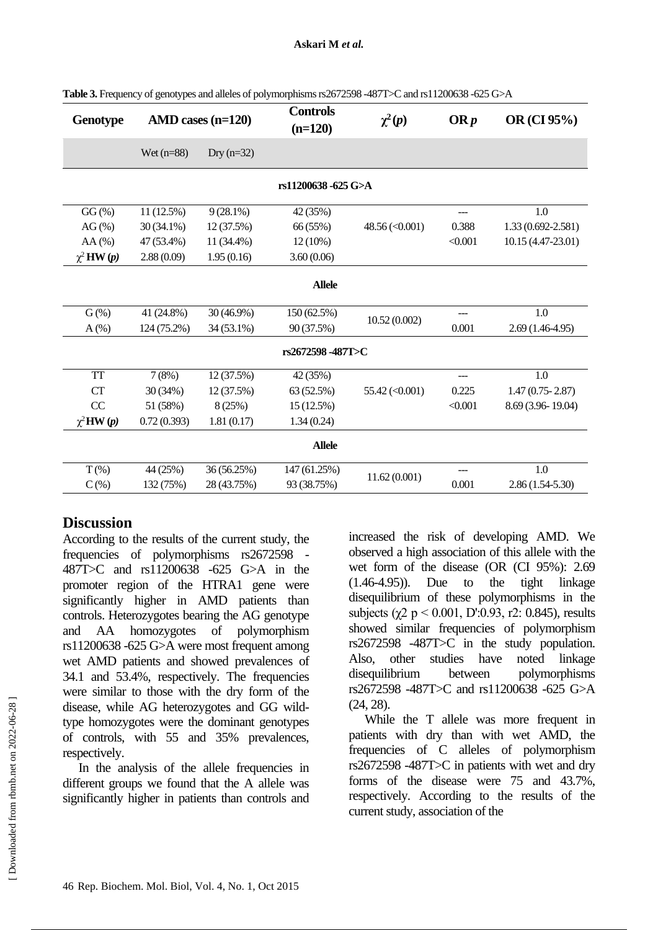| <b>Genotype</b>     | $AMD \cases (n=120)$ |              | <b>Controls</b><br>$(n=120)$ | $\chi^2(p)$             | ORp     | OR (CI 95%)         |  |  |
|---------------------|----------------------|--------------|------------------------------|-------------------------|---------|---------------------|--|--|
|                     | Wet $(n=88)$         | Dry $(n=32)$ |                              |                         |         |                     |  |  |
| rs11200638 -625 G>A |                      |              |                              |                         |         |                     |  |  |
| $GG\left(\%\right)$ | 11 (12.5%)           | $9(28.1\%)$  | 42 (35%)                     |                         | ---     | 1.0                 |  |  |
| $AG(\% )$           | $30(34.1\%)$         | 12 (37.5%)   | 66 (55%)                     | $48.56 \, (\leq 0.001)$ | 0.388   | 1.33 (0.692-2.581)  |  |  |
| $AA(\%)$            | 47 (53.4%)           | 11 (34.4%)   | $12(10\%)$                   |                         | < 0.001 | 10.15 (4.47-23.01)  |  |  |
| $\chi^2$ HW $(p)$   | 2.88(0.09)           | 1.95(0.16)   | 3.60(0.06)                   |                         |         |                     |  |  |
| <b>Allele</b>       |                      |              |                              |                         |         |                     |  |  |
| $G$ (%)             | 41 (24.8%)           | $30(46.9\%)$ | 150 (62.5%)                  |                         |         | 1.0                 |  |  |
| $A(\%)$             | 124 (75.2%)          | 34 (53.1%)   | 90 (37.5%)                   | 10.52(0.002)            | 0.001   | $2.69(1.46-4.95)$   |  |  |
| rs2672598-487T>C    |                      |              |                              |                         |         |                     |  |  |
| <b>TT</b>           | 7(8%)                | 12 (37.5%)   | 42 (35%)                     |                         |         | 1.0                 |  |  |
| <b>CT</b>           | 30 (34%)             | 12 (37.5%)   | 63 (52.5%)                   | $55.42 \, (\leq 0.001)$ | 0.225   | $1.47(0.75 - 2.87)$ |  |  |
| CC                  | 51 (58%)             | 8 (25%)      | 15 (12.5%)                   |                         | < 0.001 | 8.69 (3.96-19.04)   |  |  |
| $\chi^2$ HW $(p)$   | 0.72(0.393)          | 1.81(0.17)   | 1.34(0.24)                   |                         |         |                     |  |  |
| <b>Allele</b>       |                      |              |                              |                         |         |                     |  |  |
| $T(\%)$             | 44 (25%)             | 36 (56.25%)  | 147 (61.25%)                 |                         |         | $1.0\,$             |  |  |
| $C(\%)$             | 132 (75%)            | 28 (43.75%)  | 93 (38.75%)                  | 11.62(0.001)            | 0.001   | $2.86(1.54-5.30)$   |  |  |

**Table 3.** Frequency of genotypes and alleles of polymorphisms rs2672598 -487T>C and rs11200638 -625 G>A

#### **Discussion**

According to the results of the current study, the frequencies of polymorphisms rs2672598 - 487T>C and rs11200638 -625 G>A in the promoter region of the HTRA1 gene were significantly higher in AMD patients than controls. Heterozygotes bearing the AG genotype and AA homozygotes of polymorphism rs11200638 -625 G>A were most frequent among wet AMD patients and showed prevalences of 34.1 and 53.4%, respectively. The frequencies were similar to those with the dry form of the disease, while AG heterozygotes and GG wildtype homozygotes were the dominant genotypes of controls, with 55 and 35% prevalences, respectively.

In the analysis of the allele frequencies in different groups we found that the A allele was significantly higher in patients than controls and increased the risk of developing AMD. We observed a high association of this allele with the wet form of the disease (OR (CI 95%): 2.69  $(1.46-4.95)$ . Due to the tight linkage disequilibrium of these polymorphisms in the subjects ( $\chi$ 2 p < 0.001, D':0.93, r2: 0.845), results showed similar frequencies of polymorphism rs2672598 -487T>C in the study population. Also, other studies have noted linkage disequilibrium between polymorphisms rs2672598 -487T>C and rs11200638 -625 G>A (24, 28).

While the T allele was more frequent in patients with dry than with wet AMD, the frequencies of C alleles of polymorphism rs2672598 -487T>C in patients with wet and dry forms of the disease were 75 and 43.7%, respectively. According to the results of the current study, association of the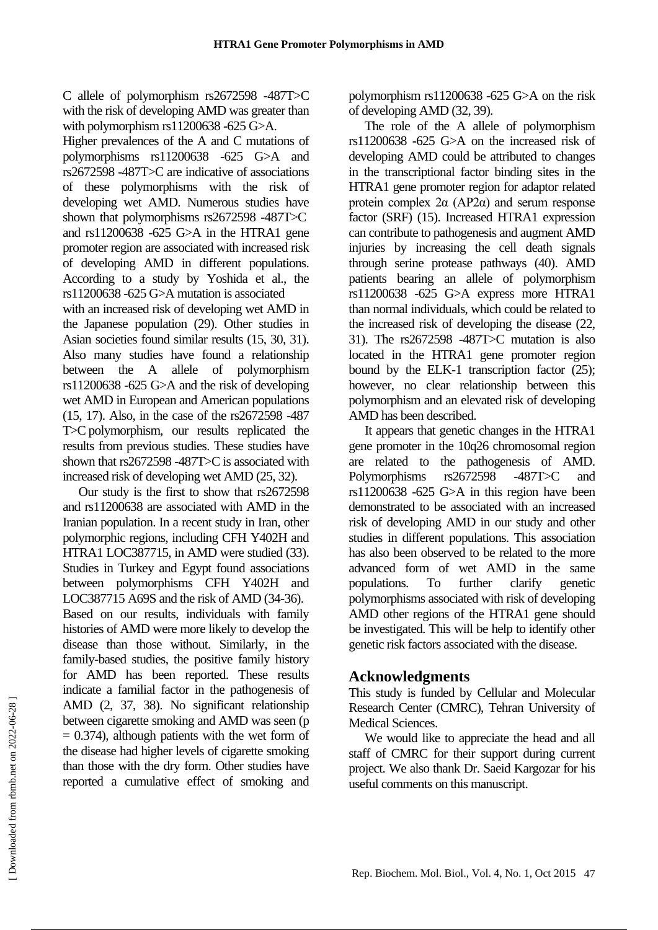C allele of polymorphism rs2672598 -487T>C with the risk of developing AMD was greater than with polymorphism rs11200638 -625 G>A.

Higher prevalences of the A and C mutations of polymorphisms rs11200638 -625 G>A and rs2672598 -487T>C are indicative of associations of these polymorphisms with the risk of developing wet AMD. Numerous studies have shown that polymorphisms rs2672598 -487T>C and rs11200638 -625 G>A in the HTRA1 gene promoter region are associated with increased risk of developing AMD in different populations. According to a study by Yoshida et al., the rs11200638 -625 G>A mutation is associated

with an increased risk of developing wet AMD in the Japanese population (29). Other studies in Asian societies found similar results (15, 30, 31). Also many studies have found a relationship between the A allele of polymorphism rs11200638 -625 G>A and the risk of developing wet AMD in European and American populations (15, 17). Also, in the case of the rs2672598 -487 T>C polymorphism, our results replicated the results from previous studies. These studies have shown that rs2672598 -487T>C is associated with increased risk of developing wet AMD (25, 32).

Our study is the first to show that rs2672598 and rs11200638 are associated with AMD in the Iranian population. In a recent study in Iran, other polymorphic regions, including CFH Y402H and HTRA1 LOC387715, in AMD were studied (33). Studies in Turkey and Egypt found associations between polymorphisms CFH Y402H and LOC387715 A69S and the risk of AMD (34-36). Based on our results, individuals with family histories of AMD were more likely to develop the disease than those without. Similarly, in the family-based studies, the positive family history for AMD has been reported. These results indicate a familial factor in the pathogenesis of AMD (2, 37, 38). No significant relationship between cigarette smoking and AMD was seen (p  $= 0.374$ ), although patients with the wet form of the disease had higher levels of cigarette smoking than those with the dry form. Other studies have reported a cumulative effect of smoking and polymorphism rs11200638 -625 G>A on the risk of developing AMD (32, 39).

The role of the A allele of polymorphism rs11200638 -625 G>A on the increased risk of developing AMD could be attributed to changes in the transcriptional factor binding sites in the HTRA1 gene promoter region for adaptor related protein complex  $2\alpha$  (AP2 $\alpha$ ) and serum response factor (SRF) (15). Increased HTRA1 expression can contribute to pathogenesis and augment AMD injuries by increasing the cell death signals through serine protease pathways (40). AMD patients bearing an allele of polymorphism rs11200638 -625 G>A express more HTRA1 than normal individuals, which could be related to the increased risk of developing the disease (22, 31). The rs2672598 -487T>C mutation is also located in the HTRA1 gene promoter region bound by the ELK-1 transcription factor (25); however, no clear relationship between this polymorphism and an elevated risk of developing AMD has been described.

It appears that genetic changes in the HTRA1 gene promoter in the 10q26 chromosomal region are related to the pathogenesis of AMD. Polymorphisms rs2672598 -487T>C and rs11200638 -625 G>A in this region have been demonstrated to be associated with an increased risk of developing AMD in our study and other studies in different populations. This association has also been observed to be related to the more advanced form of wet AMD in the same populations. To further clarify genetic polymorphisms associated with risk of developing AMD other regions of the HTRA1 gene should be investigated. This will be help to identify other genetic risk factors associated with the disease.

## **Acknowledgments**

This study is funded by Cellular and Molecular Research Center (CMRC), Tehran University of Medical Sciences.

We would like to appreciate the head and all staff of CMRC for their support during current project. We also thank Dr. Saeid Kargozar for his useful comments on this manuscript.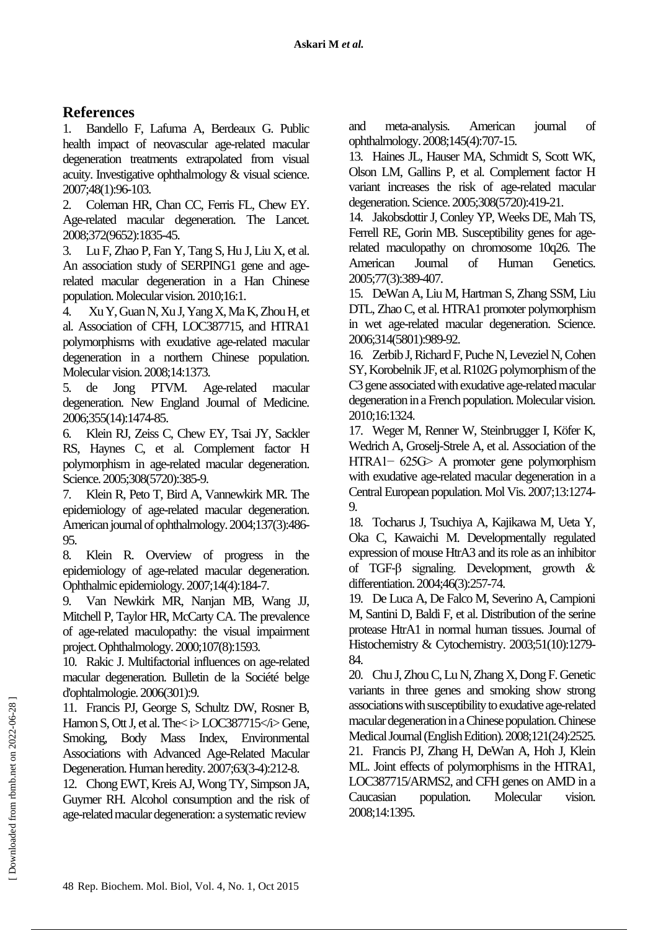# **References**

1. Bandello F, Lafuma A, Berdeaux G. Public health impact of neovascular age-related macular degeneration treatments extrapolated from visual acuity. Investigative ophthalmology & visual science. 2007;48(1):96-103.

2. Coleman HR, Chan CC, Ferris FL, Chew EY. Age-related macular degeneration. The Lancet. 2008;372(9652):1835-45.

3. Lu F, Zhao P, Fan Y, Tang S, Hu J, Liu X, et al. An association study of SERPING1 gene and agerelated macular degeneration in a Han Chinese population. Molecular vision. 2010;16:1.

4. Xu Y, Guan N, Xu J, Yang X, Ma K, Zhou H, et al. Association of CFH, LOC387715, and HTRA1 polymorphisms with exudative age-related macular degeneration in a northern Chinese population. Molecular vision. 2008;14:1373.

5. de Jong PTVM. Age-related macular degeneration. New England Journal of Medicine. 2006;355(14):1474-85.

6. Klein RJ, Zeiss C, Chew EY, Tsai JY, Sackler RS, Haynes C, et al. Complement factor H polymorphism in age-related macular degeneration. Science. 2005;308(5720):385-9.

7. Klein R, Peto T, Bird A, Vannewkirk MR. The epidemiology of age-related macular degeneration. American journal of ophthalmology. 2004;137(3):486- 95.

8. Klein R. Overview of progress in the epidemiology of age-related macular degeneration. Ophthalmic epidemiology. 2007;14(4):184-7.

9. Van Newkirk MR, Nanjan MB, Wang JJ, Mitchell P, Taylor HR, McCarty CA. The prevalence of age-related maculopathy: the visual impairment project. Ophthalmology. 2000;107(8):1593.

10. Rakic J. Multifactorial influences on age-related macular degeneration. Bulletin de la Société belge d'ophtalmologie. 2006(301):9.

11. Francis PJ, George S, Schultz DW, Rosner B, Hamon S, Ott J, et al. The  $\leq$  i> LOC387715 $\leq$ i> Gene, Smoking, Body Mass Index, Environmental Associations with Advanced Age-Related Macular Degeneration. Human heredity. 2007;63(3-4):212-8.

12. Chong EWT, Kreis AJ, Wong TY, Simpson JA, Guymer RH. Alcohol consumption and the risk of age-related macular degeneration: a systematic review

and meta-analysis. American journal of ophthalmology. 2008;145(4):707-15.

13. Haines JL, Hauser MA, Schmidt S, Scott WK, Olson LM, Gallins P, et al. Complement factor H variant increases the risk of age-related macular degeneration. Science. 2005;308(5720):419-21.

14. Jakobsdottir J, Conley YP, Weeks DE, Mah TS, Ferrell RE, Gorin MB. Susceptibility genes for agerelated maculopathy on chromosome 10q26. The American Journal of Human Genetics. 2005;77(3):389-407.

15. DeWan A, Liu M, Hartman S, Zhang SSM, Liu DTL, Zhao C, et al. HTRA1 promoter polymorphism in wet age-related macular degeneration. Science. 2006;314(5801):989-92.

16. Zerbib J, Richard F, Puche N, Leveziel N, Cohen SY, Korobelnik JF, et al. R102G polymorphism of the C3 gene associated with exudative age-related macular degeneration in a French population. Molecular vision. 2010;16:1324.

17. Weger M, Renner W, Steinbrugger I, Köfer K, Wedrich A, Groselj-Strele A, et al. Association of the HTRA1− 625G> A promoter gene polymorphism with exudative age-related macular degeneration in a Central European population. Mol Vis. 2007;13:1274- 9.

18. Tocharus J, Tsuchiya A, Kajikawa M, Ueta Y, Oka C, Kawaichi M. Developmentally regulated expression of mouse HtrA3 and its role as an inhibitor of TGF‐β signaling. Development, growth & differentiation. 2004;46(3):257-74.

19. De Luca A, De Falco M, Severino A, Campioni M, Santini D, Baldi F, et al. Distribution of the serine protease HtrA1 in normal human tissues. Journal of Histochemistry & Cytochemistry. 2003;51(10):1279- 84.

20. Chu J, Zhou C, Lu N, Zhang X, Dong F. Genetic variants in three genes and smoking show strong associations with susceptibility to exudative age-related macular degeneration in a Chinese population. Chinese Medical Journal (English Edition). 2008;121(24):2525. 21. Francis PJ, Zhang H, DeWan A, Hoh J, Klein ML. Joint effects of polymorphisms in the HTRA1, LOC387715/ARMS2, and CFH genes on AMD in a Caucasian population. Molecular vision. 2008;14:1395.